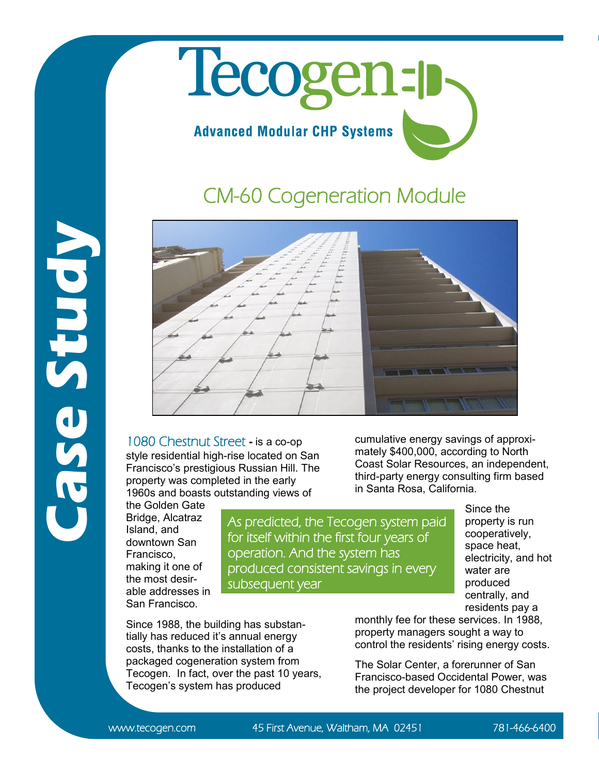## Tecogen-**Advanced Modular CHP Systems**

## CM-60 Cogeneration Module



1080 Chestnut Street **-** is a co-op style residential high-rise located on San Francisco's prestigious Russian Hill. The property was completed in the early 1960s and boasts outstanding views of

the Golden Gate Bridge, Alcatraz Island, and downtown San Francisco, making it one of the most desirable addresses in San Francisco.

As predicted, the Tecogen system paid for itself within the first four years of operation. And the system has produced consistent savings in every subsequent year

Since 1988, the building has substantially has reduced it's annual energy costs, thanks to the installation of a packaged cogeneration system from Tecogen. In fact, over the past 10 years, Tecogen's system has produced

cumulative energy savings of approximately \$400,000, according to North Coast Solar Resources, an independent, third-party energy consulting firm based in Santa Rosa, California.

> Since the property is run cooperatively, space heat, electricity, and hot water are produced centrally, and residents pay a

monthly fee for these services. In 1988, property managers sought a way to control the residents' rising energy costs.

The Solar Center, a forerunner of San Francisco-based Occidental Power, was the project developer for 1080 Chestnut